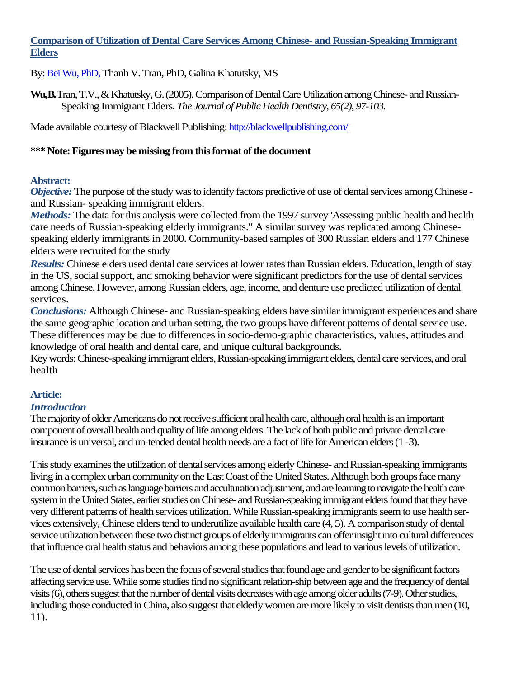### **Comparison of Utilization of Dental Care Services Among Chinese- and Russian-Speaking Immigrant Elders**

By: Bei Wu, PhD, Thanh V. Tran, PhD, Galina Khatutsky, MS

**Wu, B.** Tran, T.V., & Khatutsky, G. (2005). Comparison of Dental Care Utilization among Chinese- and Russian-Speaking Immigrant Elders. *The Journal of Public Health Dentistry, 65(2), 97-103.*

Made available courtesy of Blackwell Publishing: http://blackwellpublishing.com/

### **\*\*\* Note: Figures may be missing from this format of the document**

## **Abstract:**

*Objective:* The purpose of the study was to identify factors predictive of use of dental services among Chinese and Russian- speaking immigrant elders.

*Methods:* The data for this analysis were collected from the 1997 survey 'Assessing public health and health care needs of Russian-speaking elderly immigrants." A similar survey was replicated among Chinesespeaking elderly immigrants in 2000. Community-based samples of 300 Russian elders and 177 Chinese elders were recruited for the study

*Results:* Chinese elders used dental care services at lower rates than Russian elders. Education, length of stay in the US, social support, and smoking behavior were significant predictors for the use of dental services among Chinese. However, among Russian elders, age, income, and denture use predicted utilization of dental services.

*Conclusions:* Although Chinese- and Russian-speaking elders have similar immigrant experiences and share the same geographic location and urban setting, the two groups have different patterns of dental service use. These differences may be due to differences in socio-demo-graphic characteristics, values, attitudes and knowledge of oral health and dental care, and unique cultural backgrounds.

Key words: Chinese-speaking immigrant elders, Russian-speaking immigrant elders, dental care services, and oral health

# **Article:**

# *Introduction*

The majority of older Americans do not receive sufficient oral health care, although oral health is an important component of overall health and quality of life among elders. The lack of both public and private dental care insurance is universal, and un-tended dental health needs are a fact of life for American elders (1 -3).

This study examines the utilization of dental services among elderly Chinese- and Russian-speaking immigrants living in a complex urban community on the East Coast of the United States. Although both groups face many common barriers, such as language barriers and acculturation adjustment, and are learning to navigate the health care system in the United States, earlier studies on Chinese- and Russian-speaking immigrant elders found that they have very different patterns of health services utilization. While Russian-speaking immigrants seem to use health services extensively, Chinese elders tend to underutilize available health care (4, 5). A comparison study of dental service utilization between these two distinct groups of elderly immigrants can offer insight into cultural differences that influence oral health status and behaviors among these populations and lead to various levels of utilization.

The use of dental services has been the focus of several studies that found age and gender to be significant factors affecting service use. While some studies find no significant relation-ship between age and the frequency of dental visits (6), others suggest that the number of dental visits decreases with age among older adults (7-9). Other studies, including those conducted in China, also suggest that elderly women are more likely to visit dentists than men (10, 11).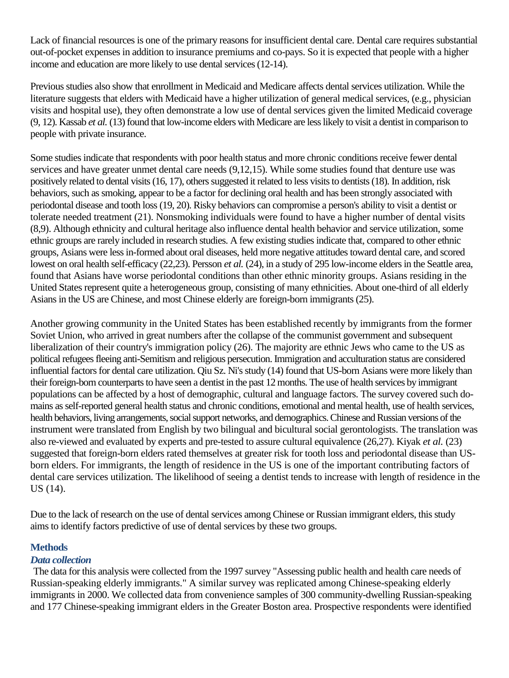Lack of financial resources is one of the primary reasons for insufficient dental care. Dental care requires substantial out-of-pocket expenses in addition to insurance premiums and co-pays. So it is expected that people with a higher income and education are more likely to use dental services (12-14).

Previous studies also show that enrollment in Medicaid and Medicare affects dental services utilization. While the literature suggests that elders with Medicaid have a higher utilization of general medical services, (e.g., physician visits and hospital use), they often demonstrate a low use of dental services given the limited Medicaid coverage (9, 12). Kassab *et al.* (13) found that low-income elders with Medicare are less likely to visit a dentist in comparison to people with private insurance.

Some studies indicate that respondents with poor health status and more chronic conditions receive fewer dental services and have greater unmet dental care needs (9,12,15). While some studies found that denture use was positively related to dental visits (16, 17), others suggested it related to less visits to dentists (18). In addition, risk behaviors, such as smoking, appear to be a factor for declining oral health and has been strongly associated with periodontal disease and tooth loss (19, 20). Risky behaviors can compromise a person's ability to visit a dentist or tolerate needed treatment (21). Nonsmoking individuals were found to have a higher number of dental visits (8,9). Although ethnicity and cultural heritage also influence dental health behavior and service utilization, some ethnic groups are rarely included in research studies. A few existing studies indicate that, compared to other ethnic groups, Asians were less in-formed about oral diseases, held more negative attitudes toward dental care, and scored lowest on oral health self-efficacy (22,23). Persson *et al.* (24), in a study of 295 low-income elders in the Seattle area, found that Asians have worse periodontal conditions than other ethnic minority groups. Asians residing in the United States represent quite a heterogeneous group, consisting of many ethnicities. About one-third of all elderly Asians in the US are Chinese, and most Chinese elderly are foreign-born immigrants (25).

Another growing community in the United States has been established recently by immigrants from the former Soviet Union, who arrived in great numbers after the collapse of the communist government and subsequent liberalization of their country's immigration policy (26). The majority are ethnic Jews who came to the US as political refugees fleeing anti-Semitism and religious persecution. Immigration and acculturation status are considered influential factors for dental care utilization. Qiu Sz. Ni's study (14) found that US-born Asians were more likely than their foreign-born counterparts to have seen a dentist in the past 12 months. The use of health services by immigrant populations can be affected by a host of demographic, cultural and language factors. The survey covered such domains as self-reported general health status and chronic conditions, emotional and mental health, use of health services, health behaviors, living arrangements, social support networks, and demographics. Chinese and Russian versions of the instrument were translated from English by two bilingual and bicultural social gerontologists. The translation was also re-viewed and evaluated by experts and pre-tested to assure cultural equivalence (26,27). Kiyak *et al.* (23) suggested that foreign-born elders rated themselves at greater risk for tooth loss and periodontal disease than USborn elders. For immigrants, the length of residence in the US is one of the important contributing factors of dental care services utilization. The likelihood of seeing a dentist tends to increase with length of residence in the US (14).

Due to the lack of research on the use of dental services among Chinese or Russian immigrant elders, this study aims to identify factors predictive of use of dental services by these two groups.

### **Methods**

### *Data collection*

The data for this analysis were collected from the 1997 survey "Assessing public health and health care needs of Russian-speaking elderly immigrants." A similar survey was replicated among Chinese-speaking elderly immigrants in 2000. We collected data from convenience samples of 300 community-dwelling Russian-speaking and 177 Chinese-speaking immigrant elders in the Greater Boston area. Prospective respondents were identified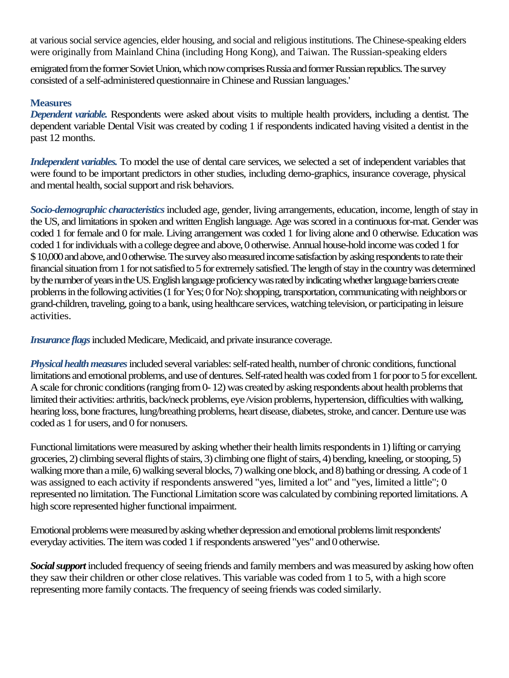at various social service agencies, elder housing, and social and religious institutions. The Chinese-speaking elders were originally from Mainland China (including Hong Kong), and Taiwan. The Russian-speaking elders

emigrated from the former Soviet Union, which now comprises Russia and former Russian republics. The survey consisted of a self-administered questionnaire in Chinese and Russian languages.'

#### **Measures**

*Dependent variable.* Respondents were asked about visits to multiple health providers, including a dentist. The dependent variable Dental Visit was created by coding 1 if respondents indicated having visited a dentist in the past 12 months.

*Independent variables.* To model the use of dental care services, we selected a set of independent variables that were found to be important predictors in other studies, including demo-graphics, insurance coverage, physical and mental health, social support and risk behaviors.

*Socio-demographic characteristics*included age, gender, living arrangements, education, income, length of stay in the US, and limitations in spoken and written English language. Age was scored in a continuous for-mat. Gender was coded 1 for female and 0 for male. Living arrangement was coded 1 for living alone and 0 otherwise. Education was coded1 for individuals with a college degree and above, 0 otherwise. Annual house-hold income was coded 1 for \$ 10,000 and above, and 0 otherwise. The survey also measured income satisfaction by asking respondents to rate their financial situation from 1 for not satisfied to 5 for extremely satisfied. The length of stay in the country was determined by the number of years in the US. English language proficiency was rated by indicating whether language barriers create problems in the following activities (1 for Yes; 0 for No): shopping, transportation, communicating with neighbors or grand-children, traveling, going to a bank, using healthcare services, watching television, or participating in leisure activities.

*Insurance flags* included Medicare, Medicaid, and private insurance coverage.

*Physical health measures*included several variables: self-rated health, number of chronic conditions, functional limitations and emotional problems, and use of dentures. Self-rated health was coded from 1 for poor to 5 for excellent. A scale for chronic conditions (ranging from 0-12) was created by asking respondents about health problems that limited their activities: arthritis, back/neck problems, eye /vision problems, hypertension, difficulties with walking, hearing loss, bone fractures, lung/breathing problems, heart disease, diabetes, stroke, and cancer. Denture use was coded as 1 for users, and 0 for nonusers.

Functional limitations were measured by asking whether their health limits respondents in 1) lifting or carrying groceries, 2) climbing several flights of stairs, 3) climbing one flight of stairs, 4) bending, kneeling, or stooping, 5) walking more than a mile, 6) walking several blocks, 7) walking one block, and 8) bathing or dressing. A code of 1 was assigned to each activity if respondents answered "yes, limited a lot" and "yes, limited a little"; 0 represented no limitation. The Functional Limitation score was calculated by combining reported limitations. A high score represented higher functional impairment.

Emotional problems were measured by asking whether depression and emotional problems limit respondents' everyday activities. The item was coded 1 if respondents answered "yes" and 0 otherwise.

*Social support* included frequency of seeing friends and family members and was measured by asking how often they saw their children or other close relatives. This variable was coded from 1 to 5, with a high score representing more family contacts. The frequency of seeing friends was coded similarly.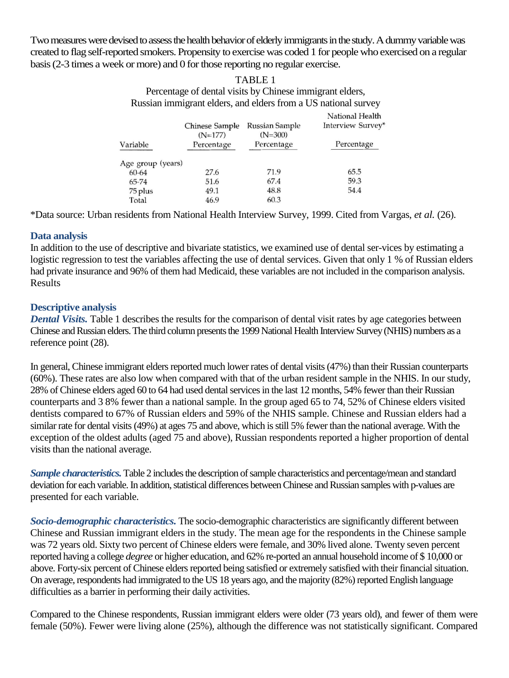Two measures were devised to assess the health behavior of elderly immigrants in the study. A dummy variable was created to flag self-reported smokers. Propensity to exercise was coded 1 for people who exercised on a regular basis (2-3 times a week or more) and 0 for those reporting no regular exercise.

#### TABLE 1 Percentage of dental visits by Chinese immigrant elders, Russian immigrant elders, and elders from a US national survey

|                   | Chinese Sample<br>$(N=177)$ | Russian Sample<br>$(N=300)$ | National Health<br>Interview Survey' |
|-------------------|-----------------------------|-----------------------------|--------------------------------------|
| Variable          | Percentage                  | Percentage                  | Percentage                           |
| Age group (years) |                             |                             |                                      |
| 60-64             | 27.6                        | 71.9                        | 65.5                                 |
| 65-74             | 51.6                        | 67.4                        | 59.3                                 |
| 75 plus           | 49.1                        | 48.8                        | 54.4                                 |
| Total             | 46.9                        | 60.3                        |                                      |

\*Data source: Urban residents from National Health Interview Survey, 1999. Cited from Vargas, *et al.* (26).

## **Data analysis**

In addition to the use of descriptive and bivariate statistics, we examined use of dental ser-vices by estimating a logistic regression to test the variables affecting the use of dental services. Given that only 1 % of Russian elders had private insurance and 96% of them had Medicaid, these variables are not included in the comparison analysis. Results

## **Descriptive analysis**

*Dental Visits.* Table 1 describes the results for the comparison of dental visit rates by age categories between Chinese and Russian elders. The third column presents the 1999 National Health Interview Survey (NHIS) numbers as a reference point (28).

In general, Chinese immigrant elders reported much lower rates of dental visits (47%) than their Russian counterparts (60%). These rates are also low when compared with that of the urban resident sample in the NHIS. In our study, 28% of Chinese elders aged 60 to 64 had used dental services in the last 12 months, 54% fewer than their Russian counterparts and 3 8% fewer than a national sample. In the group aged 65 to 74, 52% of Chinese elders visited dentists compared to 67% of Russian elders and 59% of the NHIS sample. Chinese and Russian elders had a similar rate for dental visits (49%) at ages 75 and above, which is still 5% fewer than the national average. With the exception of the oldest adults (aged 75 and above), Russian respondents reported a higher proportion of dental visits than the national average.

*Sample characteristics.*Table 2 includes the description of sample characteristics and percentage/mean and standard deviation for each variable. In addition, statistical differences between Chinese and Russian samples with p-values are presented for each variable.

*Socio-demographic characteristics.* The socio-demographic characteristics are significantly different between Chinese and Russian immigrant elders in the study. The mean age for the respondents in the Chinese sample was 72 years old. Sixty two percent of Chinese elders were female, and 30% lived alone. Twenty seven percent reported having a college *degree* or higher education, and 62% re-ported an annual household income of \$ 10,000 or above. Forty-six percent of Chinese elders reported being satisfied or extremely satisfied with their financial situation. On average, respondents had immigrated to the US 18 years ago, and the majority (82%) reported English language difficulties as a barrier in performing their daily activities.

Compared to the Chinese respondents, Russian immigrant elders were older (73 years old), and fewer of them were female (50%). Fewer were living alone (25%), although the difference was not statistically significant. Compared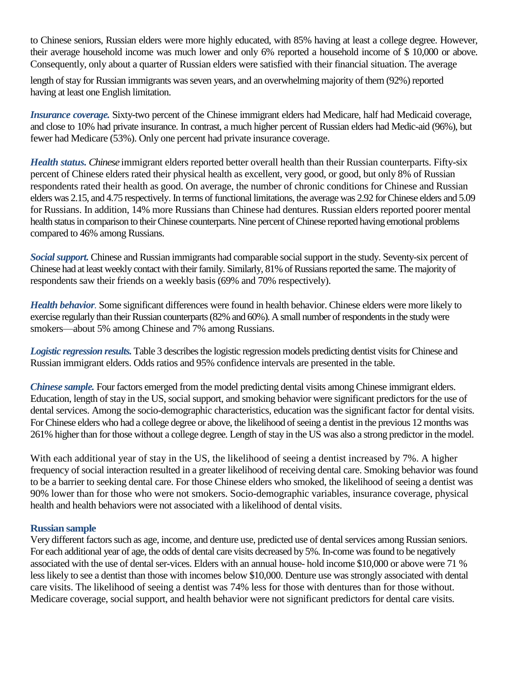to Chinese seniors, Russian elders were more highly educated, with 85% having at least a college degree. However, their average household income was much lower and only 6% reported a household income of \$ 10,000 or above. Consequently, only about a quarter of Russian elders were satisfied with their financial situation. The average

length of stay for Russian immigrants was seven years, and an overwhelming majority of them (92%) reported having at least one English limitation.

*Insurance coverage.* Sixty-two percent of the Chinese immigrant elders had Medicare, half had Medicaid coverage, and close to 10% had private insurance. In contrast, a much higher percent of Russian elders had Medic-aid (96%), but fewer had Medicare (53%). Only one percent had private insurance coverage.

*Health status. Chinese* immigrant elders reported better overall health than their Russian counterparts. Fifty-six percent of Chinese elders rated their physical health as excellent, very good, or good, but only 8% of Russian respondents rated their health as good. On average, the number of chronic conditions for Chinese and Russian elders was 2.15, and 4.75 respectively. In terms of functional limitations, the average was 2.92 for Chinese elders and 5.09 for Russians. In addition, 14% more Russians than Chinese had dentures. Russian elders reported poorer mental health status in comparison to their Chinese counterparts. Nine percent of Chinese reported having emotional problems compared to 46% among Russians.

*Social support.* Chinese and Russian immigrants had comparable social support in the study. Seventy-six percent of Chinese had at least weekly contact with their family. Similarly, 81% of Russians reported the same. The majority of respondents saw their friends on a weekly basis (69% and 70% respectively).

*Health behavior.* Some significant differences were found in health behavior. Chinese elders were more likely to exercise regularly than their Russian counterparts (82% and 60%). A small number of respondents in the study were smokers—about 5% among Chinese and 7% among Russians.

*Logistic regression results.* Table 3 describes the logistic regression models predicting dentist visits for Chinese and Russian immigrant elders. Odds ratios and 95% confidence intervals are presented in the table.

*Chinese sample.* Four factors emerged from the model predicting dental visits among Chinese immigrant elders. Education, length of stay in the US, social support, and smoking behavior were significant predictors for the use of dental services. Among the socio-demographic characteristics, education was the significant factor for dental visits. For Chinese elders who had a college degree or above, the likelihood of seeing a dentist in the previous 12 months was 261% higher than for those without a college degree. Length of stay in the US was also a strong predictor in the model.

With each additional year of stay in the US, the likelihood of seeing a dentist increased by 7%. A higher frequency of social interaction resulted in a greater likelihood of receiving dental care. Smoking behavior was found to be a barrier to seeking dental care. For those Chinese elders who smoked, the likelihood of seeing a dentist was 90% lower than for those who were not smokers. Socio-demographic variables, insurance coverage, physical health and health behaviors were not associated with a likelihood of dental visits.

#### **Russian sample**

Very different factors such as age, income, and denture use, predicted use of dental services among Russian seniors. For each additional year of age, the odds of dental care visits decreased by 5%. In-come was found to be negatively associated with the use of dental ser-vices. Elders with an annual house- hold income \$10,000 or above were 71 % less likely to see a dentist than those with incomes below \$10,000. Denture use was strongly associated with dental care visits. The likelihood of seeing a dentist was 74% less for those with dentures than for those without. Medicare coverage, social support, and health behavior were not significant predictors for dental care visits.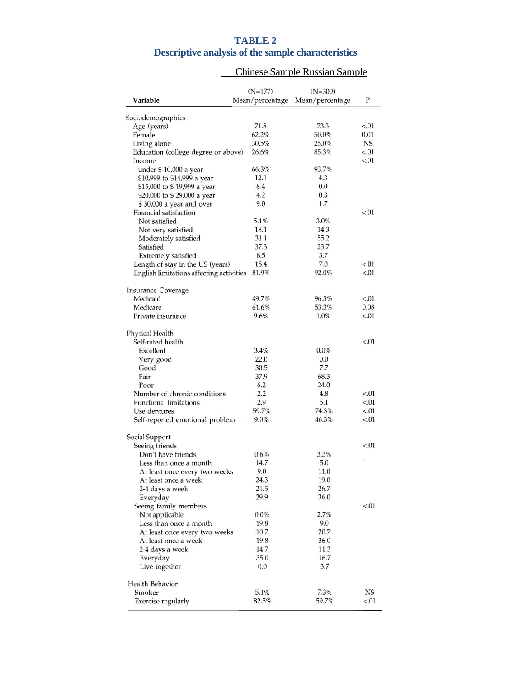# **TABLE 2**

# **Descriptive analysis of the sample characteristics**

# Chinese Sample Russian Sample

|                                                       | $(N=177)$       | $(N=300)$       |           |
|-------------------------------------------------------|-----------------|-----------------|-----------|
| Variable                                              | Mean/percentage | Mean/percentage | P         |
| Sociodemographics                                     |                 |                 |           |
| Age (years)                                           | 71.8            | 73.3            | < 01      |
| Female                                                | 62.2%           | 50.0%           | 0.01      |
| Living alone                                          | 30.5%           | 25.0%           | <b>NS</b> |
| Education (college degree or above)                   | 26.6%           | 85.3%           | < 01      |
| Income                                                |                 |                 | < 0.01    |
| under \$ 10,000 a year                                | 66.3%           | 93.7%           |           |
| \$10,999 to \$14,999 a year                           | 12.1            | 4.3             |           |
| \$15,000 to \$ 19,999 a year                          | 8.4             | 0.0             |           |
| \$20,000 to \$ 29,000 a year                          | 4.2             | 0.3             |           |
| \$30,000 a year and over                              | 9.0             | 1.7             |           |
| Financial satisfaction                                |                 |                 | < 01      |
| Not satisfied                                         | 5.1%            | 3.0%            |           |
| Not very satisfied                                    | 18.1            | 14.3            |           |
| Moderately satisfied                                  | 31.1            | 55.2            |           |
| Satisfied                                             | 37.3            | 23.7            |           |
|                                                       | 8.5             | 3.7             |           |
| Extremely satisfied                                   | 18.4            | 7.0             |           |
| Length of stay in the US (years)                      |                 |                 | < 01      |
| English limitations affecting activities              | 81.9%           | 92.0%           | < 0.01    |
| <b>Insurance Coverage</b>                             |                 |                 |           |
| Medicaid                                              | 49.7%           | 96.3%           | < 0.01    |
| Medicare                                              | 61.6%           | 53.3%           | 0.08      |
| Private insurance                                     | 9.6%            | 1.0%            | < 0.01    |
| Physical Health                                       |                 |                 |           |
| Self-rated health                                     |                 |                 | < 0.01    |
| Excellent                                             | 3.4%            | $0.0\%$         |           |
| Very good                                             | 22.0            | 0.0             |           |
| Good                                                  | 30.5            | 7.7             |           |
| Fair                                                  | 37.9            | 68.3            |           |
| Poor                                                  | 6.2             | 24.0            |           |
| Number of chronic conditions                          | 2.2             | 4.8             | ${<}.01$  |
| <b>Functional limitations</b>                         | 2.9             | 5.1             | < 0.01    |
| Use dentures                                          | 59.7%           | 74.3%           | < 0.01    |
| Self-reported emotional problem                       | 9.0%            | 46.3%           | < 0.01    |
| Social Support                                        |                 |                 |           |
| Seeing friends                                        |                 |                 | < 0.01    |
| Don't have friends                                    | 0.6%            | $3.3\%$         |           |
| Less than once a month                                | 14.7            | 5.0             | ò.        |
|                                                       | 9.0             | 11.0            |           |
| At least once every two weeks<br>At least once a week | 24.3            | 19.0            |           |
|                                                       | 21.5            | 26.7            |           |
| 2-4 days a week                                       |                 |                 |           |
| Everyday                                              | 29.9            | 36.0            |           |
| Seeing family members                                 |                 |                 | < 0.01    |
| Not applicable                                        | 0.0%            | 2.7%            |           |
| Less than once a month                                | 19.8            | 9.0             |           |
| At least once every two weeks                         | 10.7            | 20.7            |           |
| At least once a week                                  | 19.8            | 36.0            |           |
| 2-4 days a week                                       | 14.7            | 11.3            |           |
| Everyday                                              | 35.0            | 16.7            |           |
| Live together                                         | 0.0             | 3.7             |           |
| Health Behavior                                       |                 |                 |           |
| Smoker                                                | 5.1%            | 7.3%            | NS.       |
|                                                       |                 |                 |           |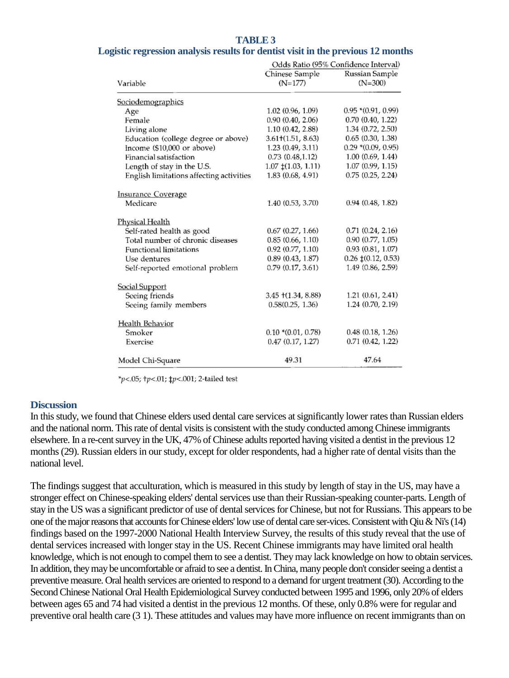# **TABLE 3**

|  |  |  | Logistic regression analysis results for dentist visit in the previous 12 months |  |
|--|--|--|----------------------------------------------------------------------------------|--|
|  |  |  |                                                                                  |  |

|                                          | Odds Ratio (95% Confidence Interval) |                             |  |  |
|------------------------------------------|--------------------------------------|-----------------------------|--|--|
| Variable                                 | Chinese Sample<br>$(N=177)$          | Russian Sample<br>$(N=300)$ |  |  |
| Sociodemographics                        |                                      |                             |  |  |
| Age                                      | 1.02(0.96, 1.09)                     | $0.95*(0.91, 0.99)$         |  |  |
| Female                                   | 0.90(0.40, 2.06)                     | $0.70$ $(0.40, 1.22)$       |  |  |
| Living alone                             | 1.10(0.42, 2.88)                     | 1.34 (0.72, 2.50)           |  |  |
| Education (college degree or above)      | $3.61\pm(1.51, 8.63)$                | 0.65(0.30, 1.38)            |  |  |
| Income (\$10,000 or above)               | 1.23 (0.49, 3.11)                    | $0.29*(0.09, 0.95)$         |  |  |
| Financial satisfaction                   | 0.73(0.48, 1.12)                     | 1.00(0.69, 1.44)            |  |  |
| Length of stay in the U.S.               | $1.07 \pm (1.03, 1.11)$              | 1.07(0.99, 1.15)            |  |  |
| English limitations affecting activities | 1.83(0.68, 4.91)                     | 0.75(0.25, 2.24)            |  |  |
| <b>Insurance Coverage</b>                |                                      |                             |  |  |
| Medicare                                 | 1.40(0.53, 3.70)                     | 0.94(0.48, 1.82)            |  |  |
| <b>Physical Health</b>                   |                                      |                             |  |  |
| Self-rated health as good                | 0.67(0.27, 1.66)                     | 0.71(0.24, 2.16)            |  |  |
| Total number of chronic diseases         | 0.85(0.66, 1.10)                     | 0.90(0.77, 1.05)            |  |  |
| <b>Functional limitations</b>            | 0.92(0.77, 1.10)                     | 0.93(0.81, 1.07)            |  |  |
| Use dentures                             | 0.89(0.43, 1.87)                     | $0.26 \pm (0.12, 0.53)$     |  |  |
| Self-reported emotional problem          | 0.79(0.17, 3.61)                     | 1.49 (0.86, 2.59)           |  |  |
| <b>Social Support</b>                    |                                      |                             |  |  |
| Seeing friends                           | $3.45 + (1.34, 8.88)$                | 1.21(0.61, 2.41)            |  |  |
| Seeing family members                    | 0.58(0.25, 1.36)                     | 1.24(0.70, 2.19)            |  |  |
| <b>Health Behavior</b>                   |                                      |                             |  |  |
| Smoker                                   | $0.10*(0.01, 0.78)$                  | 0.48(0.18, 1.26)            |  |  |
| Exercise                                 | 0.47(0.17, 1.27)                     | 0.71(0.42, 1.22)            |  |  |
| Model Chi-Square                         | 49.31                                | 47.64                       |  |  |

\*p<.05; +p<.01;  $tp<.001$ ; 2-tailed test

#### **Discussion**

In this study, we found that Chinese elders used dental care services at significantly lower rates than Russian elders and the national norm. This rate of dental visits is consistent with the study conducted among Chinese immigrants elsewhere. In a re-centsurvey in the UK, 47% of Chinese adults reported having visited a dentist in the previous 12 months (29). Russian elders in our study, except for older respondents, had a higher rate of dental visits than the national level.

The findings suggest that acculturation, which is measured in this study by length of stay in the US, may have a stronger effect on Chinese-speaking elders' dental services use than their Russian-speaking counter-parts. Length of stay in the US was a significant predictor of use of dental services for Chinese, but not for Russians. This appears to be one of the major reasons that accounts for Chinese elders' low use of dental care ser-vices. Consistent with Qiu & Ni's (14) findings based on the 1997-2000 National Health Interview Survey, the results of this study reveal that the use of dental services increased with longer stay in the US. Recent Chinese immigrants may have limited oral health knowledge, which is not enough to compel them to see a dentist. They may lack knowledge on how to obtain services. In addition, they may be uncomfortable or afraid to see a dentist. In China, many people don't consider seeing a dentist a preventive measure. Oral health services are oriented to respond to a demand for urgent treatment (30). According to the Second Chinese National Oral Health Epidemiological Survey conducted between 1995 and 1996, only 20% of elders between ages 65 and 74 had visited a dentist in the previous 12 months. Of these, only 0.8% were for regular and preventive oral health care (3 1). These attitudes and values may have more influence on recent immigrants than on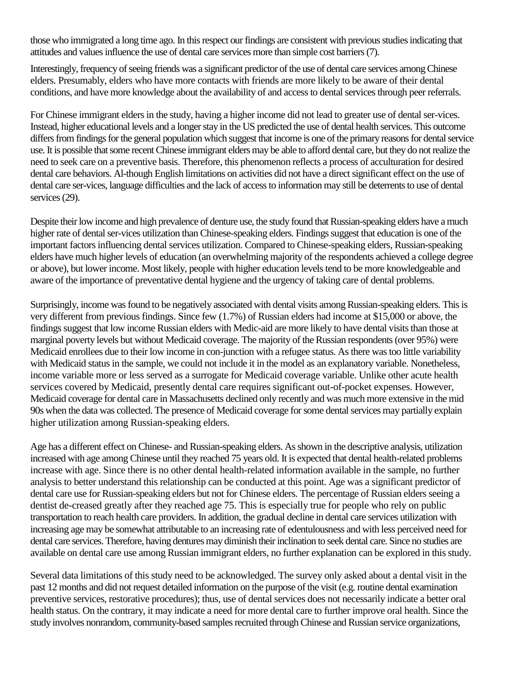those who immigrated a long time ago. In this respect our findings are consistent with previous studies indicating that attitudes and values influence the use of dental care services more than simple cost barriers (7).

Interestingly, frequency of seeing friends was a significant predictor of the use of dental care services among Chinese elders. Presumably, elders who have more contacts with friends are more likely to be aware of their dental conditions, and have more knowledge about the availability of and access to dental services through peer referrals.

For Chinese immigrant elders in the study, having a higher income did not lead to greater use of dental ser-vices. Instead, higher educational levels and a longer stay in the US predicted the use of dental health services. This outcome differs from findings for the general population which suggest that income is one of the primary reasons for dental service use. It is possible that some recent Chinese immigrant elders may be able to afford dental care, but they do not realize the need to seek care on a preventive basis. Therefore, this phenomenon reflects a process of acculturation for desired dental care behaviors. Al-though English limitations on activities did not have a direct significant effect on the use of dental care ser-vices, language difficulties and the lack of access to information may still be deterrents to use of dental services (29).

Despite their low income and high prevalence of denture use, the study found that Russian-speaking elders have a much higher rate of dental ser-vices utilization than Chinese-speaking elders. Findings suggest that education is one of the important factors influencing dental services utilization. Compared to Chinese-speaking elders, Russian-speaking elders have much higher levels of education (an overwhelming majority of the respondents achieved a college degree or above), but lower income. Most likely, people with higher education levels tend to be more knowledgeable and aware of the importance of preventative dental hygiene and the urgency of taking care of dental problems.

Surprisingly, income was found to be negatively associated with dental visits among Russian-speaking elders. This is very different from previous findings. Since few (1.7%) of Russian elders had income at \$15,000 or above, the findings suggest that low income Russian elders with Medic-aid are more likely to have dental visits than those at marginal poverty levels but without Medicaid coverage. The majority of the Russian respondents (over 95%) were Medicaid enrollees due to their low income in con-junction with a refugee status. As there was too little variability with Medicaid status in the sample, we could not include it in the model as an explanatory variable. Nonetheless, income variable more or less served as a surrogate for Medicaid coverage variable. Unlike other acute health services covered by Medicaid, presently dental care requires significant out-of-pocket expenses. However, Medicaid coverage for dental care in Massachusetts declined only recently and was much more extensive in the mid 90s when the data was collected. The presence of Medicaid coverage for some dental services may partially explain higher utilization among Russian-speaking elders.

Age has a different effect on Chinese- and Russian-speaking elders. As shown in the descriptive analysis, utilization increased with age among Chinese until they reached 75 years old. It is expected that dental health-related problems increase with age. Since there is no other dental health-related information available in the sample, no further analysis to better understand this relationship can be conducted at this point. Age was a significant predictor of dental care use for Russian-speaking elders but not for Chinese elders. The percentage of Russian elders seeing a dentist de-creased greatly after they reached age 75. This is especially true for people who rely on public transportation to reach health care providers. In addition, the gradual decline in dental care services utilization with increasing age may be somewhat attributable to an increasing rate of edentulousness and with less perceived need for dental care services. Therefore, having dentures may diminish their inclination to seek dental care. Since no studies are available on dental care use among Russian immigrant elders, no further explanation can be explored in this study.

Several data limitations of this study need to be acknowledged. The survey only asked about a dental visit in the past 12 months and did not request detailed information on the purpose of the visit (e.g. routine dental examination preventive services, restorative procedures); thus, use of dental services does not necessarily indicate a better oral health status. On the contrary, it may indicate a need for more dental care to further improve oral health. Since the study involves nonrandom, community-based samples recruited through Chinese and Russian service organizations,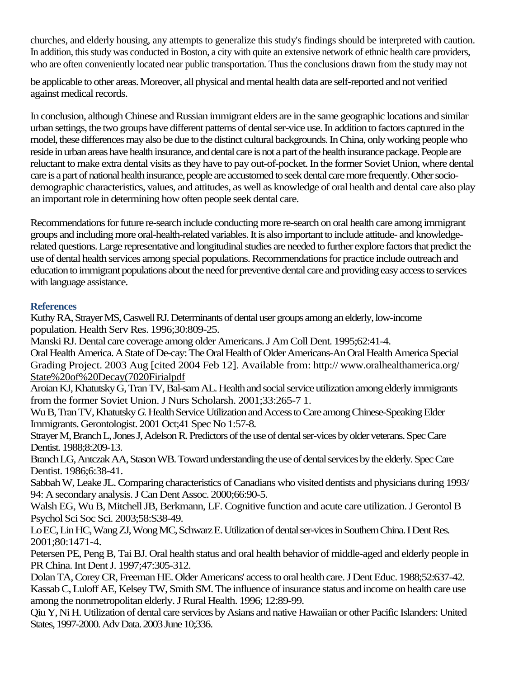churches, and elderly housing, any attempts to generalize this study's findings should be interpreted with caution. In addition, this study was conducted in Boston, a city with quite an extensive network of ethnic health care providers, who are often conveniently located near public transportation. Thus the conclusions drawn from the study may not

be applicable to other areas. Moreover, all physical and mental health data are self-reported and not verified against medical records.

In conclusion, although Chinese and Russian immigrant elders are in the same geographic locations and similar urban settings, the two groups have different patterns of dental ser-vice use. In addition to factors captured in the model, these differences may also be due to the distinct cultural backgrounds. In China, only working people who reside in urban areas have health insurance, and dental care is not a part of the health insurance package. People are reluctant to make extra dental visits as they have to pay out-of-pocket. In the former Soviet Union, where dental care is a part of national health insurance, people are accustomed to seek dental care more frequently. Other sociodemographic characteristics, values, and attitudes, as well as knowledge of oral health and dental care also play an important role in determining how often people seek dental care.

Recommendations for future re-search include conducting more re-search on oral health care among immigrant groups and including more oral-health-related variables. It is also important to include attitude- and knowledgerelated questions. Large representative and longitudinal studies are needed to further explore factors that predict the use of dental health services among special populations. Recommendations for practice include outreach and education to immigrant populations about the need for preventive dental care and providing easy access to services with language assistance.

### **References**

Kuthy RA, Strayer MS, Caswell RJ. Determinants of dental user groups among an elderly, low-income population. Health Serv Res. 1996;30:809-25.

Manski RJ. Dental care coverage among older Americans. J Am Coll Dent. 1995;62:41-4.

Oral Health America. A State of De-cay: The Oral Health of Older Americans-An Oral Health America Special Grading Project. 2003 Aug [cited 2004 Feb 12]. Available from: http:// www.oralhealthamerica.org/ State%20of%20Decay(7020Firialpdf

Aroian KJ, Khatutsky G, Tran TV, Bal-sam AL. Health and social service utilization among elderly immigrants from the former Soviet Union. J Nurs Scholarsh. 2001;33:265-7 1.

Wu B, Tran TV, Khatutsky *G.* Health Service Utilization and Access to Care among Chinese-Speaking Elder Immigrants. Gerontologist. 2001 Oct;41 Spec No 1:57-8.

Strayer M, Branch L, Jones J, Adelson R. Predictors of the use of dental ser-vices by older veterans. Spec Care Dentist. 1988;8:209-13.

Branch LG, Antczak AA, Stason WB. Toward understanding the use of dental services by the elderly. Spec Care Dentist. 1986;6:38-41.

Sabbah W, Leake JL. Comparing characteristics of Canadians who visited dentists and physicians during 1993/ 94: A secondary analysis. J Can Dent Assoc. 2000;66:90-5.

Walsh EG, Wu B, Mitchell JB, Berkmann, LF. Cognitive function and acute care utilization. J Gerontol B Psychol Sci Soc Sci. 2003;58:S38-49.

Lo EC, Lin HC, Wang ZJ, Wong MC, Schwarz E. Utilization of dental ser-vices in Southern China. I Dent Res. 2001;80:1471-4.

Petersen PE, Peng B, Tai BJ. Oral health status and oral health behavior of middle-aged and elderly people in PR China. Int Dent J. 1997;47:305-312.

Dolan TA, Corey CR, Freeman HE. Older Americans' access to oral health care. J Dent Educ. 1988;52:637-42. Kassab C, Luloff AE, Kelsey TW, Smith SM. The influence of insurance status and income on health care use among the nonmetropolitan elderly. J Rural Health. 1996; 12:89-99.

Qiu Y, Ni H. Utilization of dental care services by Asians and native Hawaiian or other Pacific Islanders: United States, 1997-2000. Adv Data. 2003 June 10;336.